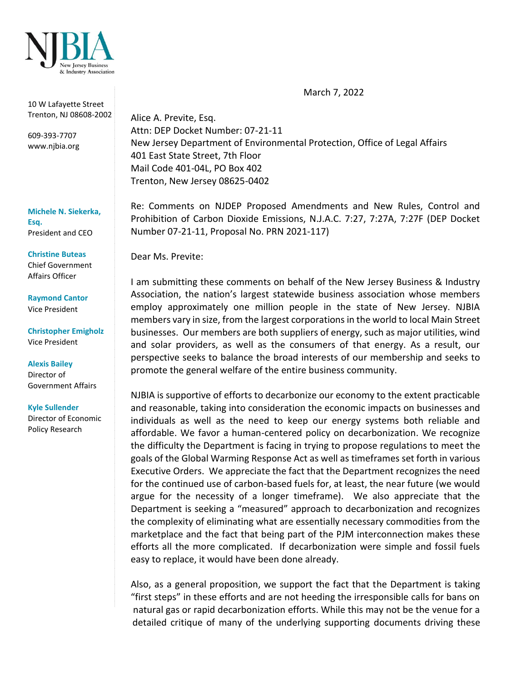

March 7, 2022

10 W Lafayette Street Trenton, NJ 08608-2002

609-393-7707 www.njbia.org

**Michele N. Siekerka, Esq.** President and CEO

**Christine Buteas** Chief Government Affairs Officer

**Raymond Cantor** Vice President

**Christopher Emigholz** Vice President

**Alexis Bailey** Director of Government Affairs

**Kyle Sullender**

Director of Economic Policy Research

Alice A. Previte, Esq. Attn: DEP Docket Number: 07-21-11 New Jersey Department of Environmental Protection, Office of Legal Affairs 401 East State Street, 7th Floor Mail Code 401-04L, PO Box 402 Trenton, New Jersey 08625-0402

Re: Comments on NJDEP Proposed Amendments and New Rules, Control and Prohibition of Carbon Dioxide Emissions, N.J.A.C. 7:27, 7:27A, 7:27F (DEP Docket Number 07-21-11, Proposal No. PRN 2021-117)

Dear Ms. Previte:

I am submitting these comments on behalf of the New Jersey Business & Industry Association, the nation's largest statewide business association whose members employ approximately one million people in the state of New Jersey. NJBIA members vary in size, from the largest corporations in the world to local Main Street businesses. Our members are both suppliers of energy, such as major utilities, wind and solar providers, as well as the consumers of that energy. As a result, our perspective seeks to balance the broad interests of our membership and seeks to promote the general welfare of the entire business community.

NJBIA is supportive of efforts to decarbonize our economy to the extent practicable and reasonable, taking into consideration the economic impacts on businesses and individuals as well as the need to keep our energy systems both reliable and affordable. We favor a human-centered policy on decarbonization. We recognize the difficulty the Department is facing in trying to propose regulations to meet the goals of the Global Warming Response Act as well as timeframes set forth in various Executive Orders. We appreciate the fact that the Department recognizes the need for the continued use of carbon-based fuels for, at least, the near future (we would argue for the necessity of a longer timeframe). We also appreciate that the Department is seeking a "measured" approach to decarbonization and recognizes the complexity of eliminating what are essentially necessary commodities from the marketplace and the fact that being part of the PJM interconnection makes these efforts all the more complicated. If decarbonization were simple and fossil fuels easy to replace, it would have been done already.

Also, as a general proposition, we support the fact that the Department is taking "first steps" in these efforts and are not heeding the irresponsible calls for bans on natural gas or rapid decarbonization efforts. While this may not be the venue for a detailed critique of many of the underlying supporting documents driving these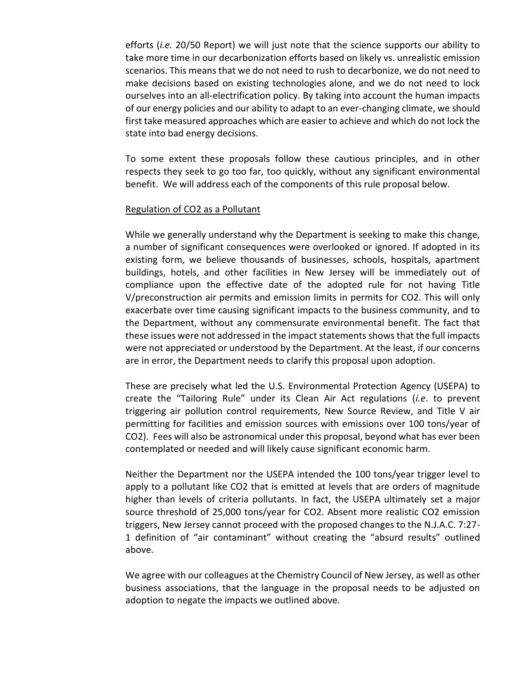efforts (*i.e.* 20/50 Report) we will just note that the science supports our ability to take more time in our decarbonization efforts based on likely vs. unrealistic emission scenarios. This means that we do not need to rush to decarbonize, we do not need to make decisions based on existing technologies alone, and we do not need to lock ourselves into an all-electrification policy. By taking into account the human impacts of our energy policies and our ability to adapt to an ever-changing climate, we should first take measured approaches which are easier to achieve and which do not lock the state into bad energy decisions.

To some extent these proposals follow these cautious principles, and in other respects they seek to go too far, too quickly, without any significant environmental benefit. We will address each of the components of this rule proposal below.

# Regulation of CO2 as a Pollutant

While we generally understand why the Department is seeking to make this change, a number of significant consequences were overlooked or ignored. If adopted in its existing form, we believe thousands of businesses, schools, hospitals, apartment buildings, hotels, and other facilities in New Jersey will be immediately out of compliance upon the effective date of the adopted rule for not having Title V/preconstruction air permits and emission limits in permits for CO2. This will only exacerbate over time causing significant impacts to the business community, and to the Department, without any commensurate environmental benefit. The fact that these issues were not addressed in the impact statements shows that the full impacts were not appreciated or understood by the Department. At the least, if our concerns are in error, the Department needs to clarify this proposal upon adoption.

These are precisely what led the U.S. Environmental Protection Agency (USEPA) to create the "Tailoring Rule" under its Clean Air Act regulations (*i.e*. to prevent triggering air pollution control requirements, New Source Review, and Title V air permitting for facilities and emission sources with emissions over 100 tons/year of CO2). Fees will also be astronomical under this proposal, beyond what has ever been contemplated or needed and will likely cause significant economic harm.

Neither the Department nor the USEPA intended the 100 tons/year trigger level to apply to a pollutant like CO2 that is emitted at levels that are orders of magnitude higher than levels of criteria pollutants. In fact, the USEPA ultimately set a major source threshold of 25,000 tons/year for CO2. Absent more realistic CO2 emission triggers, New Jersey cannot proceed with the proposed changes to the N.J.A.C. 7:27- 1 definition of "air contaminant" without creating the "absurd results" outlined above.

We agree with our colleagues at the Chemistry Council of New Jersey, as well as other business associations, that the language in the proposal needs to be adjusted on adoption to negate the impacts we outlined above.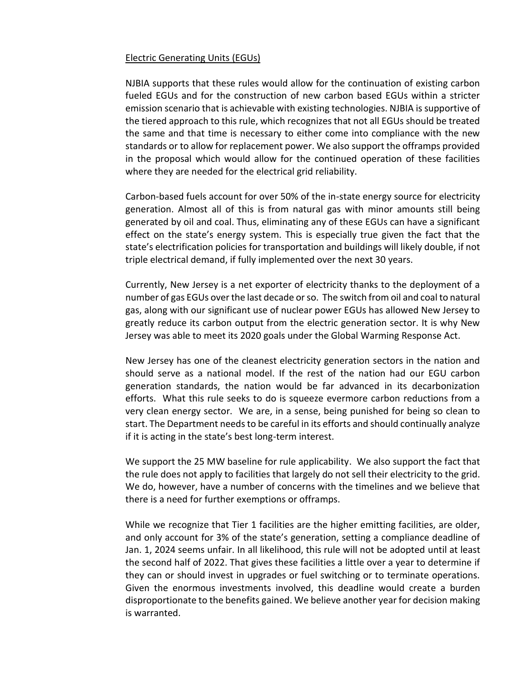## Electric Generating Units (EGUs)

NJBIA supports that these rules would allow for the continuation of existing carbon fueled EGUs and for the construction of new carbon based EGUs within a stricter emission scenario that is achievable with existing technologies. NJBIA is supportive of the tiered approach to this rule, which recognizes that not all EGUs should be treated the same and that time is necessary to either come into compliance with the new standards or to allow for replacement power. We also support the offramps provided in the proposal which would allow for the continued operation of these facilities where they are needed for the electrical grid reliability.

Carbon-based fuels account for over 50% of the in-state energy source for electricity generation. Almost all of this is from natural gas with minor amounts still being generated by oil and coal. Thus, eliminating any of these EGUs can have a significant effect on the state's energy system. This is especially true given the fact that the state's electrification policies for transportation and buildings will likely double, if not triple electrical demand, if fully implemented over the next 30 years.

Currently, New Jersey is a net exporter of electricity thanks to the deployment of a number of gas EGUs over the last decade or so. The switch from oil and coal to natural gas, along with our significant use of nuclear power EGUs has allowed New Jersey to greatly reduce its carbon output from the electric generation sector. It is why New Jersey was able to meet its 2020 goals under the Global Warming Response Act.

New Jersey has one of the cleanest electricity generation sectors in the nation and should serve as a national model. If the rest of the nation had our EGU carbon generation standards, the nation would be far advanced in its decarbonization efforts. What this rule seeks to do is squeeze evermore carbon reductions from a very clean energy sector. We are, in a sense, being punished for being so clean to start. The Department needs to be careful in its efforts and should continually analyze if it is acting in the state's best long-term interest.

We support the 25 MW baseline for rule applicability. We also support the fact that the rule does not apply to facilities that largely do not sell their electricity to the grid. We do, however, have a number of concerns with the timelines and we believe that there is a need for further exemptions or offramps.

While we recognize that Tier 1 facilities are the higher emitting facilities, are older, and only account for 3% of the state's generation, setting a compliance deadline of Jan. 1, 2024 seems unfair. In all likelihood, this rule will not be adopted until at least the second half of 2022. That gives these facilities a little over a year to determine if they can or should invest in upgrades or fuel switching or to terminate operations. Given the enormous investments involved, this deadline would create a burden disproportionate to the benefits gained. We believe another year for decision making is warranted.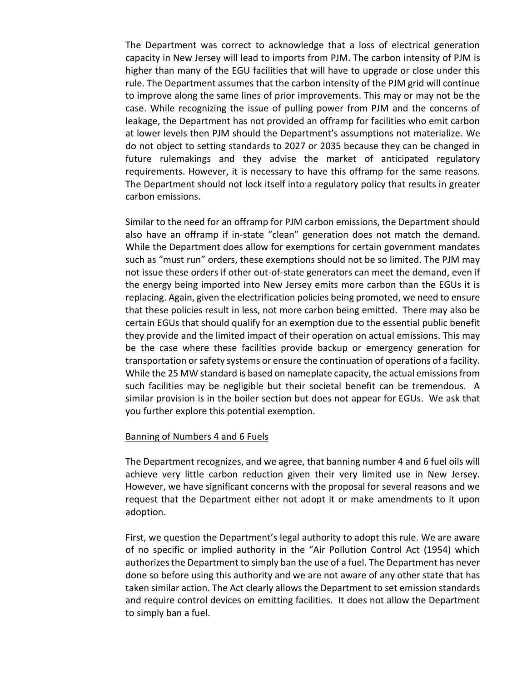The Department was correct to acknowledge that a loss of electrical generation capacity in New Jersey will lead to imports from PJM. The carbon intensity of PJM is higher than many of the EGU facilities that will have to upgrade or close under this rule. The Department assumes that the carbon intensity of the PJM grid will continue to improve along the same lines of prior improvements. This may or may not be the case. While recognizing the issue of pulling power from PJM and the concerns of leakage, the Department has not provided an offramp for facilities who emit carbon at lower levels then PJM should the Department's assumptions not materialize. We do not object to setting standards to 2027 or 2035 because they can be changed in future rulemakings and they advise the market of anticipated regulatory requirements. However, it is necessary to have this offramp for the same reasons. The Department should not lock itself into a regulatory policy that results in greater carbon emissions.

Similar to the need for an offramp for PJM carbon emissions, the Department should also have an offramp if in-state "clean" generation does not match the demand. While the Department does allow for exemptions for certain government mandates such as "must run" orders, these exemptions should not be so limited. The PJM may not issue these orders if other out-of-state generators can meet the demand, even if the energy being imported into New Jersey emits more carbon than the EGUs it is replacing. Again, given the electrification policies being promoted, we need to ensure that these policies result in less, not more carbon being emitted. There may also be certain EGUs that should qualify for an exemption due to the essential public benefit they provide and the limited impact of their operation on actual emissions. This may be the case where these facilities provide backup or emergency generation for transportation or safety systems or ensure the continuation of operations of a facility. While the 25 MW standard is based on nameplate capacity, the actual emissions from such facilities may be negligible but their societal benefit can be tremendous. A similar provision is in the boiler section but does not appear for EGUs. We ask that you further explore this potential exemption.

## Banning of Numbers 4 and 6 Fuels

The Department recognizes, and we agree, that banning number 4 and 6 fuel oils will achieve very little carbon reduction given their very limited use in New Jersey. However, we have significant concerns with the proposal for several reasons and we request that the Department either not adopt it or make amendments to it upon adoption.

First, we question the Department's legal authority to adopt this rule. We are aware of no specific or implied authority in the "Air Pollution Control Act (1954) which authorizes the Department to simply ban the use of a fuel. The Department has never done so before using this authority and we are not aware of any other state that has taken similar action. The Act clearly allows the Department to set emission standards and require control devices on emitting facilities. It does not allow the Department to simply ban a fuel.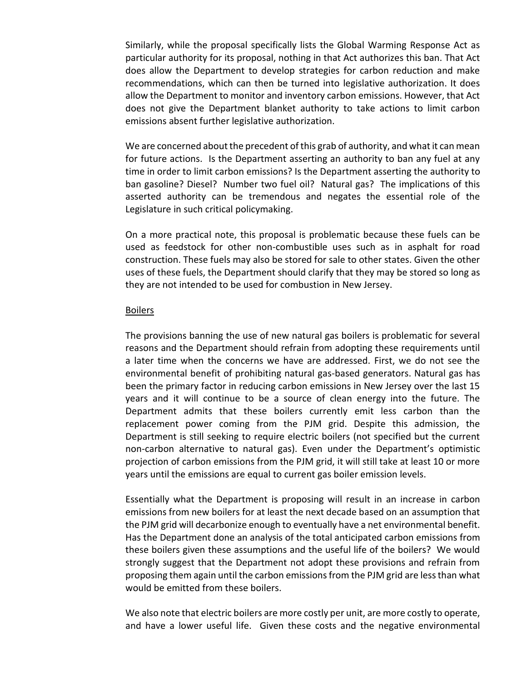Similarly, while the proposal specifically lists the Global Warming Response Act as particular authority for its proposal, nothing in that Act authorizes this ban. That Act does allow the Department to develop strategies for carbon reduction and make recommendations, which can then be turned into legislative authorization. It does allow the Department to monitor and inventory carbon emissions. However, that Act does not give the Department blanket authority to take actions to limit carbon emissions absent further legislative authorization.

We are concerned about the precedent of this grab of authority, and what it can mean for future actions. Is the Department asserting an authority to ban any fuel at any time in order to limit carbon emissions? Is the Department asserting the authority to ban gasoline? Diesel? Number two fuel oil? Natural gas? The implications of this asserted authority can be tremendous and negates the essential role of the Legislature in such critical policymaking.

On a more practical note, this proposal is problematic because these fuels can be used as feedstock for other non-combustible uses such as in asphalt for road construction. These fuels may also be stored for sale to other states. Given the other uses of these fuels, the Department should clarify that they may be stored so long as they are not intended to be used for combustion in New Jersey.

## Boilers

The provisions banning the use of new natural gas boilers is problematic for several reasons and the Department should refrain from adopting these requirements until a later time when the concerns we have are addressed. First, we do not see the environmental benefit of prohibiting natural gas-based generators. Natural gas has been the primary factor in reducing carbon emissions in New Jersey over the last 15 years and it will continue to be a source of clean energy into the future. The Department admits that these boilers currently emit less carbon than the replacement power coming from the PJM grid. Despite this admission, the Department is still seeking to require electric boilers (not specified but the current non-carbon alternative to natural gas). Even under the Department's optimistic projection of carbon emissions from the PJM grid, it will still take at least 10 or more years until the emissions are equal to current gas boiler emission levels.

Essentially what the Department is proposing will result in an increase in carbon emissions from new boilers for at least the next decade based on an assumption that the PJM grid will decarbonize enough to eventually have a net environmental benefit. Has the Department done an analysis of the total anticipated carbon emissions from these boilers given these assumptions and the useful life of the boilers? We would strongly suggest that the Department not adopt these provisions and refrain from proposing them again until the carbon emissions from the PJM grid are less than what would be emitted from these boilers.

We also note that electric boilers are more costly per unit, are more costly to operate, and have a lower useful life. Given these costs and the negative environmental